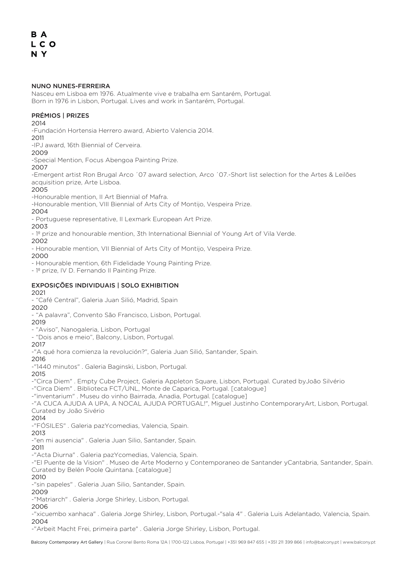#### NUNO NUNES-FERREIRA

Nasceu em Lisboa em 1976. Atualmente vive e trabalha em Santarém, Portugal. Born in 1976 in Lisbon, Portugal. Lives and work in Santarém, Portugal.

## PRÉMIOS | PRIZES

## 2014

-Fundación Hortensia Herrero award, Abierto Valencia 2014.

2011

-IPJ award, 16th Biennial of Cerveira.

## 2009

-Special Mention, Focus Abengoa Painting Prize.

2007

-Emergent artist Ron Brugal Arco ´07 award selection, Arco ´07.-Short list selection for the Artes & Leilões acquisition prize, Arte Lisboa.

## 2005

-Honourable mention, II Art Biennial of Mafra.

-Honourable mention, VIII Biennial of Arts City of Montijo, Vespeira Prize.

#### 2004

- Portuguese representative, II Lexmark European Art Prize.

## 2003

- 1º prize and honourable mention, 3th International Biennial of Young Art of Vila Verde.

2002

- Honourable mention, VII Biennial of Arts City of Montijo, Vespeira Prize.

2000

- Honourable mention, 6th Fidelidade Young Painting Prize.

- 1º prize, IV D. Fernando II Painting Prize.

# EXPOSIÇÕES INDIVIDUAIS | SOLO EXHIBITION

## 2021

- "Café Central", Galeria Juan Silió, Madrid, Spain

2020 - "A palavra", Convento São Francisco, Lisbon, Portugal.

## 2019

- "Aviso", Nanogaleria, Lisbon, Portugal

- "Dois anos e meio", Balcony, Lisbon, Portugal.

#### 2017

-"A qué hora comienza la revolución?", Galeria Juan Silió, Santander, Spain.

2016

-"1440 minutos" . Galeria Baginski, Lisbon, Portugal.

2015

-"Circa Diem" . Empty Cube Project, Galeria Appleton Square, Lisbon, Portugal. Curated byJoão Silvério

-"Circa Diem" . Biblioteca FCT/UNL, Monte de Caparica, Portugal. [catalogue]

-"inventarium" . Museu do vinho Bairrada, Anadia, Portugal. [catalogue]

-"A CUCA AJUDA A UPA, A NOCAL AJUDA PORTUGAL!", Miguel Justinho ContemporaryArt, Lisbon, Portugal. Curated by João Sivério

## 2014

-"FÓSILES" . Galeria pazYcomedias, Valencia, Spain.

2013

-"en mi ausencia" . Galeria Juan Silio, Santander, Spain.

2011

-"Acta Diurna" . Galeria pazYcomedias, Valencia, Spain.

-"El Puente de la Vision" . Museo de Arte Moderno y Contemporaneo de Santander yCantabria, Santander, Spain. Curated by Belén Poole Quintana. [catalogue]

#### 2010

-"sin papeles" . Galeria Juan Silio, Santander, Spain.

## 2009

-"Matriarch" . Galeria Jorge Shirley, Lisbon, Portugal.

## 2006

-"xicuembo xanhaca" . Galeria Jorge Shirley, Lisbon, Portugal.-"sala 4" . Galeria Luis Adelantado, Valencia, Spain. 2004

-"Arbeit Macht Frei, primeira parte" . Galeria Jorge Shirley, Lisbon, Portugal.

Balcony Contemporary Art Gallery | Rua Coronel Bento Roma 12A | 1700-122 Lisboa, Portugal | +351 969 847 655 | +351 211 399 866 | info@balcony.pt | www.balcony.pt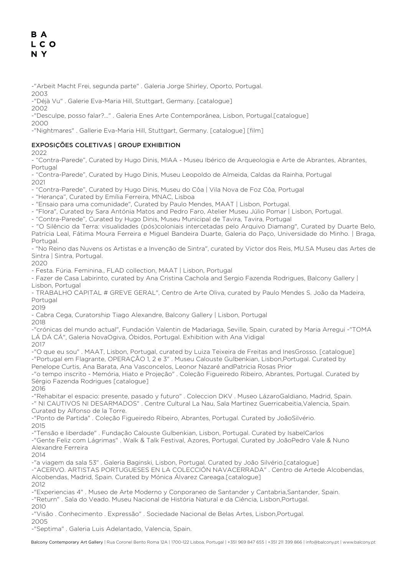-"Arbeit Macht Frei, segunda parte" . Galeria Jorge Shirley, Oporto, Portugal.

2003

-"Déjà Vu" . Galerie Eva-Maria Hill, Stuttgart, Germany. [catalogue]

2002 -"Desculpe, posso falar?..." . Galeria Enes Arte Contemporânea, Lisbon, Portugal.[catalogue]

2000

-"Nightmares" . Gallerie Eva-Maria Hill, Stuttgart, Germany. [catalogue] [film]

## EXPOSIÇÕES COLETIVAS | GROUP EXHIBITION

2022

- "Contra-Parede", Curated by Hugo Dinis, MIAA - Museu Ibérico de Arqueologia e Arte de Abrantes, Abrantes, Portugal

- "Contra-Parede", Curated by Hugo Dinis, Museu Leopoldo de Almeida, Caldas da Rainha, Portugal 2021

- "Contra-Parede", Curated by Hugo Dinis, Museu do Côa | Vila Nova de Foz Côa, Portugal

- "Herança", Curated by Emília Ferreira, MNAC, Lisboa

- "Ensaio para uma comunidade", Curated by Paulo Mendes, MAAT | Lisbon, Portugal.

- "Flora", Curated by Sara Antónia Matos and Pedro Faro, Atelier Museu Júlio Pomar | Lisbon, Portugal.

- "Contra-Parede", Curated by Hugo Dinis, Museu Municipal de Tavira, Tavira, Portugal

- "O Silêncio da Terra: visualidades (pós)coloniais intercetadas pelo Arquivo Diamang", Curated by Duarte Belo, Patrícia Leal, Fátima Moura Ferreira e Miguel Bandeira Duarte, Galeria do Paço, Universidade do Minho. | Braga, Portugal.

- "No Reino das Nuvens os Artistas e a Invenção de Sintra", curated by Victor dos Reis, MU.SA Museu das Artes de Sintra | Sintra, Portugal.

2020

- Festa. Fúria. Feminina., FLAD collection, MAAT | Lisbon, Portugal

- Fazer de Casa Labirinto, curated by Ana Cristina Cachola and Sergio Fazenda Rodrigues, Balcony Gallery | Lisbon, Portugal

- TRABALHO CAPITAL # GREVE GERAL", Centro de Arte Oliva, curated by Paulo Mendes S. João da Madeira, Portugal

2019

- Cabra Cega, Curatorship Tiago Alexandre, Balcony Gallery | Lisbon, Portugal

2018

-"crónicas del mundo actual", Fundación Valentin de Madariaga, Seville, Spain, curated by Maria Arregui -"TOMA LÁ DÁ CÁ", Galeria NovaOgiva, Óbidos, Portugal. Exhibition with Ana Vidigal

2017

-"O que eu sou" . MAAT, Lisbon, Portugal, curated by Luiza Teixeira de Freitas and InesGrosso. [catalogue] -"Portugal em Flagrante, OPERAÇÃO 1, 2 e 3" . Museu Calouste Gulbenkian, Lisbon,Portugal. Curated by Penelope Curtis, Ana Barata, Ana Vasconcelos, Leonor Nazaré andPatricia Rosas Prior

-"o tempo inscrito - Memória, Hiato e Projeção" . Coleção Figueiredo Ribeiro, Abrantes, Portugal. Curated by Sérgio Fazenda Rodrigues [catalogue]

2016

-"Rehabitar el espacio: presente, pasado y futuro" . Coleccion DKV . Museo LázaroGaldiano, Madrid, Spain. -" NI CAUTIVOS NI DESARMADOS" . Centre Cultural La Nau, Sala Martinez Guerricabeitia,Valencia, Spain.

Curated by Alfonso de la Torre.

-"Ponto de Partida" . Coleção Figueiredo Ribeiro, Abrantes, Portugal. Curated by JoãoSilvério. 2015

-"Tensão e liberdade" . Fundação Calouste Gulbenkian, Lisbon, Portugal. Curated by IsabelCarlos

-"Gente Feliz com Lágrimas" . Walk & Talk Festival, Azores, Portugal. Curated by JoãoPedro Vale & Nuno Alexandre Ferreira

 $2014$ 

-"a viagem da sala 53" . Galeria Baginski, Lisbon, Portugal. Curated by João Silvério.[catalogue]

-"ACERVO. ARTISTAS PORTUGUESES EN LA COLECCIÓN NAVACERRADA" . Centro de Artede Alcobendas, Alcobendas, Madrid, Spain. Curated by Mónica Álvarez Careaga.[catalogue]

2012

-"Experiencias 4" . Museo de Arte Moderno y Conporaneo de Santander y Cantabria,Santander, Spain.

-"Return" . Sala do Veado. Museu Nacional de História Natural e da Ciência, Lisbon,Portugal.

 $2010$ 

-"Visão . Conhecimento . Expressão" . Sociedade Nacional de Belas Artes, Lisbon,Portugal.

2005 -"Septima" . Galeria Luis Adelantado, Valencia, Spain.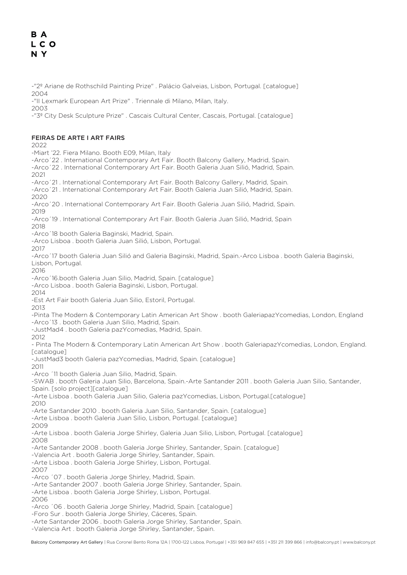-"2º Ariane de Rothschild Painting Prize" . Palácio Galveias, Lisbon, Portugal. [catalogue] 2004

-"II Lexmark European Art Prize" . Triennale di Milano, Milan, Italy.

2003

-"3º City Desk Sculpture Prize" . Cascais Cultural Center, Cascais, Portugal. [catalogue]

## FEIRAS DE ARTE I ART FAIRS

2022

-Miart '22. Fiera Milano. Booth E09, Milan, Italy

-Arco´22 . International Contemporary Art Fair. Booth Balcony Gallery, Madrid, Spain.

-Arco´22 . International Contemporary Art Fair. Booth Galeria Juan Silió, Madrid, Spain. 2021

-Arco´21 . International Contemporary Art Fair. Booth Balcony Gallery, Madrid, Spain.

-Arco´21 . International Contemporary Art Fair. Booth Galeria Juan Silió, Madrid, Spain. 2020

-Arco´20 . International Contemporary Art Fair. Booth Galeria Juan Silió, Madrid, Spain. 2019

-Arco´19 . International Contemporary Art Fair. Booth Galeria Juan Silió, Madrid, Spain 2018

-Arco´18 booth Galeria Baginski, Madrid, Spain.

-Arco Lisboa . booth Galeria Juan Silió, Lisbon, Portugal.

2017

-Arco´17 booth Galeria Juan Silió and Galeria Baginski, Madrid, Spain.-Arco Lisboa . booth Galeria Baginski, Lisbon, Portugal.

2016

-Arco´16.booth Galeria Juan Silio, Madrid, Spain. [catalogue]

-Arco Lisboa . booth Galeria Baginski, Lisbon, Portugal.

2014

-Est Art Fair booth Galeria Juan Silio, Estoril, Portugal.

2013 -Pinta The Modern & Contemporary Latin American Art Show . booth GaleriapazYcomedias, London, England -Arco´13 . booth Galeria Juan Silio, Madrid, Spain.

-JustMad4 . booth Galeria pazYcomedias, Madrid, Spain.

2012

- Pinta The Modern & Contemporary Latin American Art Show . booth GaleriapazYcomedias, London, England. [catalogue]

-JustMad3 booth Galeria pazYcomedias, Madrid, Spain. [catalogue]

2011 -Arco ´11 booth Galeria Juan Silio, Madrid, Spain.

-SWAB . booth Galeria Juan Silio, Barcelona, Spain.-Arte Santander 2011 . booth Galeria Juan Silio, Santander, Spain. [solo project][catalogue]

-Arte Lisboa . booth Galeria Juan Silio, Galeria pazYcomedias, Lisbon, Portugal.[catalogue] 2010

-Arte Santander 2010 . booth Galeria Juan Silio, Santander, Spain. [catalogue]

-Arte Lisboa . booth Galeria Juan Silio, Lisbon, Portugal. [catalogue]

2009

-Arte Lisboa . booth Galeria Jorge Shirley, Galeria Juan Silio, Lisbon, Portugal. [catalogue] 2008

-Arte Santander 2008 . booth Galeria Jorge Shirley, Santander, Spain. [catalogue]

-Valencia Art . booth Galeria Jorge Shirley, Santander, Spain.

-Arte Lisboa . booth Galeria Jorge Shirley, Lisbon, Portugal.

2007

-Arco ´07 . booth Galeria Jorge Shirley, Madrid, Spain.

-Arte Santander 2007 . booth Galeria Jorge Shirley, Santander, Spain.

- -Arte Lisboa . booth Galeria Jorge Shirley, Lisbon, Portugal.
- 2006

-Arco ´06 . booth Galeria Jorge Shirley, Madrid, Spain. [catalogue]

-Foro Sur . booth Galeria Jorge Shirley, Cáceres, Spain.

-Arte Santander 2006 . booth Galeria Jorge Shirley, Santander, Spain.

-Valencia Art . booth Galeria Jorge Shirley, Santander, Spain.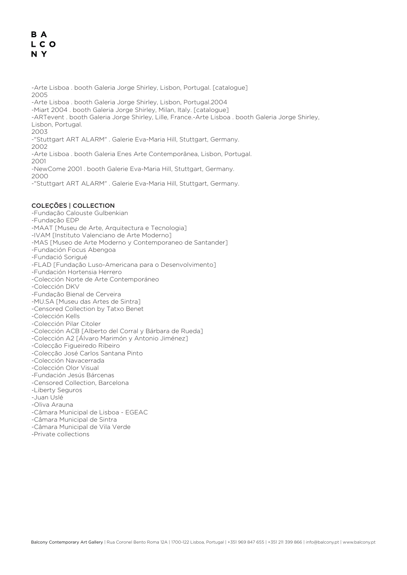## B A LCO N Y

-Arte Lisboa . booth Galeria Jorge Shirley, Lisbon, Portugal. [catalogue] 2005 -Arte Lisboa . booth Galeria Jorge Shirley, Lisbon, Portugal.2004 -Miart 2004 . booth Galeria Jorge Shirley, Milan, Italy. [catalogue] -ARTevent . booth Galeria Jorge Shirley, Lille, France.-Arte Lisboa . booth Galeria Jorge Shirley, Lisbon, Portugal. 2003 -"Stuttgart ART ALARM" . Galerie Eva-Maria Hill, Stuttgart, Germany. 2002 -Arte Lisboa . booth Galeria Enes Arte Contemporânea, Lisbon, Portugal. 2001

-NewCome 2001 . booth Galerie Eva-Maria Hill, Stuttgart, Germany.

2000

-"Stuttgart ART ALARM" . Galerie Eva-Maria Hill, Stuttgart, Germany.

## COLEÇÕES | COLLECTION

- -Fundação Calouste Gulbenkian
- -Fundação EDP
- -MAAT [Museu de Arte, Arquitectura e Tecnologia]
- -IVAM [Instituto Valenciano de Arte Moderno]
- -MAS [Museo de Arte Moderno y Contemporaneo de Santander]
- -Fundación Focus Abengoa
- -Fundació Sorigué
- -FLAD [Fundação Luso-Americana para o Desenvolvimento]
- -Fundación Hortensia Herrero
- -Colección Norte de Arte Contemporáneo
- -Colección DKV
- -Fundação Bienal de Cerveira
- -MU.SA [Museu das Artes de Sintra]
- -Censored Collection by Tatxo Benet
- -Colección Kells
- -Colección Pilar Citoler
- -Colección ACB [Alberto del Corral y Bárbara de Rueda]
- -Colección A2 [Álvaro Marimón y Antonio Jiménez]
- -Colecção Figueiredo Ribeiro
- -Colecção José Carlos Santana Pinto
- -Colección Navacerrada
- -Colección Olor Visual
- -Fundación Jesús Bárcenas
- -Censored Collection, Barcelona
- -Liberty Seguros
- -Juan Uslé
- -Oliva Arauna
- -Câmara Municipal de Lisboa EGEAC
- -Câmara Municipal de Sintra
- -Câmara Municipal de Vila Verde
- -Private collections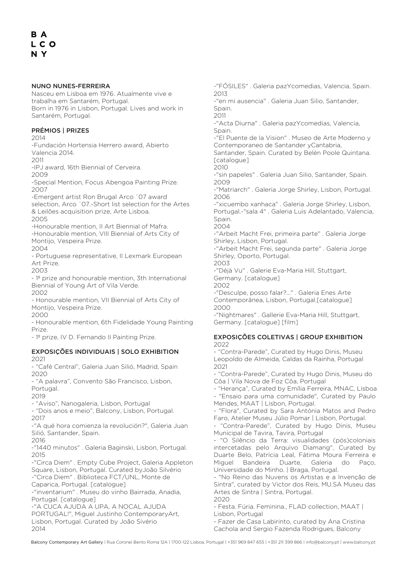#### NUNO NUNES-FERREIRA

Nasceu em Lisboa em 1976. Atualmente vive e trabalha em Santarém, Portugal. Born in 1976 in Lisbon, Portugal. Lives and work in Santarém, Portugal.

## PRÉMIOS | PRIZES

2014

-Fundación Hortensia Herrero award, Abierto Valencia 2014.

 $2011$ 

-IPJ award, 16th Biennial of Cerveira.

2009

-Special Mention, Focus Abengoa Painting Prize. 2007

-Emergent artist Ron Brugal Arco ´07 award selection, Arco ´07.-Short list selection for the Artes & Leilões acquisition prize, Arte Lisboa.

2005

-Honourable mention, II Art Biennial of Mafra. -Honourable mention, VIII Biennial of Arts City of Montijo, Vespeira Prize.

2004

- Portuguese representative, II Lexmark European Art Prize.

2003

- 1º prize and honourable mention, 3th International Biennial of Young Art of Vila Verde. 2002

- Honourable mention, VII Biennial of Arts City of Montijo, Vespeira Prize.

2000

- Honourable mention, 6th Fidelidade Young Painting Prize.

- 1º prize, IV D. Fernando II Painting Prize.

## EXPOSIÇÕES INDIVIDUAIS | SOLO EXHIBITION

2021

- "Café Central", Galeria Juan Silió, Madrid, Spain 2020

- "A palavra", Convento São Francisco, Lisbon, Portugal.

2019

- "Aviso", Nanogaleria, Lisbon, Portugal

- "Dois anos e meio", Balcony, Lisbon, Portugal. 2017

-"A qué hora comienza la revolución?", Galeria Juan Silió, Santander, Spain.

2016

-"1440 minutos" . Galeria Baginski, Lisbon, Portugal. 2015

-"Circa Diem" . Empty Cube Project, Galeria Appleton Square, Lisbon, Portugal. Curated byJoão Silvério -"Circa Diem" . Biblioteca FCT/UNL, Monte de Caparica, Portugal. [catalogue]

-"inventarium" . Museu do vinho Bairrada, Anadia, Portugal. [catalogue]

-"A CUCA AJUDA A UPA, A NOCAL AJUDA PORTUGAL!", Miguel Justinho ContemporaryArt, Lisbon, Portugal. Curated by João Sivério 2014

-"FÓSILES" . Galeria pazYcomedias, Valencia, Spain. 2013 -"en mi ausencia" . Galeria Juan Silio, Santander, Spain. 2011 -"Acta Diurna" . Galeria pazYcomedias, Valencia, Spain. -"El Puente de la Vision" . Museo de Arte Moderno y Contemporaneo de Santander yCantabria, Santander, Spain. Curated by Belén Poole Quintana. [catalogue] 2010 -"sin papeles" . Galeria Juan Silio, Santander, Spain. 2009 -"Matriarch" . Galeria Jorge Shirley, Lisbon, Portugal. 2006 -"xicuembo xanhaca" . Galeria Jorge Shirley, Lisbon, Portugal.-"sala 4" . Galeria Luis Adelantado, Valencia, Spain. 2004 -"Arbeit Macht Frei, primeira parte" . Galeria Jorge Shirley, Lisbon, Portugal. -"Arbeit Macht Frei, segunda parte" . Galeria Jorge Shirley, Oporto, Portugal. 2003

-"Déjà Vu" . Galerie Eva-Maria Hill, Stuttgart, Germany. [catalogue]

2002

-"Desculpe, posso falar?..." . Galeria Enes Arte Contemporânea, Lisbon, Portugal.[catalogue] 2000

-"Nightmares" . Gallerie Eva-Maria Hill, Stuttgart, Germany. [catalogue] [film]

## EXPOSIÇÕES COLETIVAS | GROUP EXHIBITION 2022

- "Contra-Parede", Curated by Hugo Dinis, Museu Leopoldo de Almeida, Caldas da Rainha, Portugal 2021

- "Contra-Parede", Curated by Hugo Dinis, Museu do Côa | Vila Nova de Foz Côa, Portugal

- "Herança", Curated by Emília Ferreira, MNAC, Lisboa - "Ensaio para uma comunidade", Curated by Paulo Mendes, MAAT | Lisbon, Portugal.

- "Flora", Curated by Sara Antónia Matos and Pedro Faro, Atelier Museu Júlio Pomar | Lisbon, Portugal.

"Contra-Parede", Curated by Hugo Dinis, Museu Municipal de Tavira, Tavira, Portugal

- "O Silêncio da Terra: visualidades (pós)coloniais intercetadas pelo Arquivo Diamang", Curated by Duarte Belo, Patrícia Leal, Fátima Moura Ferreira e Miguel Bandeira Duarte, Galeria do Paço, Universidade do Minho. | Braga, Portugal.

- "No Reino das Nuvens os Artistas e a Invenção de Sintra", curated by Victor dos Reis, MU.SA Museu das Artes de Sintra | Sintra, Portugal.

2020

- Festa. Fúria. Feminina., FLAD collection, MAAT | Lisbon, Portugal

- Fazer de Casa Labirinto, curated by Ana Cristina Cachola and Sergio Fazenda Rodrigues, Balcony

Balcony Contemporary Art Gallery | Rua Coronel Bento Roma 12A | 1700-122 Lisboa, Portugal | +351 969 847 655 | +351 211 399 866 | info@balcony.pt | www.balcony.pt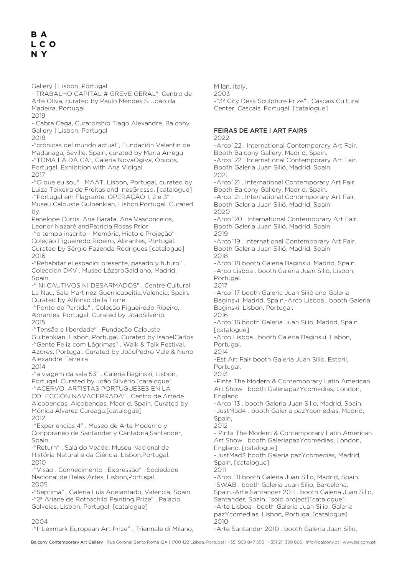Gallery | Lisbon, Portugal

- TRABALHO CAPITAL # GREVE GERAL", Centro de Arte Oliva, curated by Paulo Mendes S. João da Madeira, Portugal

2019

- Cabra Cega, Curatorship Tiago Alexandre, Balcony Gallery | Lisbon, Portugal

2018

-"crónicas del mundo actual", Fundación Valentin de Madariaga, Seville, Spain, curated by Maria Arregui -"TOMA LÁ DÁ CÁ", Galeria NovaOgiva, Óbidos, Portugal. Exhibition with Ana Vidigal 2017

-"O que eu sou" . MAAT, Lisbon, Portugal, curated by Luiza Teixeira de Freitas and InesGrosso. [catalogue] -"Portugal em Flagrante, OPERAÇÃO 1, 2 e 3"

Museu Calouste Gulbenkian, Lisbon,Portugal. Curated by

Penelope Curtis, Ana Barata, Ana Vasconcelos, Leonor Nazaré andPatricia Rosas Prior

-"o tempo inscrito - Memória, Hiato e Projeção" . Coleção Figueiredo Ribeiro, Abrantes, Portugal. Curated by Sérgio Fazenda Rodrigues [catalogue] 2016

-"Rehabitar el espacio: presente, pasado y futuro" . Coleccion DKV . Museo LázaroGaldiano, Madrid, Spain.

-" NI CAUTIVOS NI DESARMADOS" . Centre Cultural La Nau, Sala Martinez Guerricabeitia,Valencia, Spain. Curated by Alfonso de la Torre.

-"Ponto de Partida" . Coleção Figueiredo Ribeiro, Abrantes, Portugal. Curated by JoãoSilvério. 2015

-"Tensão e liberdade" . Fundação Calouste Gulbenkian, Lisbon, Portugal. Curated by IsabelCarlos -"Gente Feliz com Lágrimas" . Walk & Talk Festival, Azores, Portugal. Curated by JoãoPedro Vale & Nuno Alexandre Ferreira

2014

-"a viagem da sala 53" . Galeria Baginski, Lisbon, Portugal. Curated by João Silvério.[catalogue] -"ACERVO. ARTISTAS PORTUGUESES EN LA COLECCIÓN NAVACERRADA" . Centro de Artede Alcobendas, Alcobendas, Madrid, Spain. Curated by Mónica Álvarez Careaga.[catalogue] 2012

-"Experiencias 4" . Museo de Arte Moderno y Conporaneo de Santander y Cantabria,Santander, Spain.

-"Return" . Sala do Veado. Museu Nacional de História Natural e da Ciência, Lisbon,Portugal. 2010

-"Visão . Conhecimento . Expressão" . Sociedade Nacional de Belas Artes, Lisbon,Portugal. 2005

-"Septima" . Galeria Luis Adelantado, Valencia, Spain. -"2º Ariane de Rothschild Painting Prize" . Palácio Galveias, Lisbon, Portugal. [catalogue]

 $2004$ 

-"II Lexmark European Art Prize" . Triennale di Milano,

Milan, Italy. 2003

-"3º City Desk Sculpture Prize" . Cascais Cultural Center, Cascais, Portugal. [catalogue]

## FEIRAS DE ARTE I ART FAIRS

2022

-Arco´22 . International Contemporary Art Fair. Booth Balcony Gallery, Madrid, Spain. -Arco´22 . International Contemporary Art Fair. Booth Galeria Juan Silió, Madrid, Spain. 2021 -Arco´21 . International Contemporary Art Fair. Booth Balcony Gallery, Madrid, Spain. -Arco´21 . International Contemporary Art Fair. Booth Galeria Juan Silió, Madrid, Spain. 2020

-Arco´20 . International Contemporary Art Fair. Booth Galeria Juan Silió, Madrid, Spain. 2019

-Arco´19 . International Contemporary Art Fair. Booth Galeria Juan Silió, Madrid, Spain  $2018$ 

-Arco´18 booth Galeria Baginski, Madrid, Spain. -Arco Lisboa . booth Galeria Juan Silió, Lisbon, Portugal.

2017 -Arco´17 booth Galeria Juan Silió and Galeria Baginski, Madrid, Spain.-Arco Lisboa . booth Galeria Baginski, Lisbon, Portugal. 2016

-Arco´16.booth Galeria Juan Silio, Madrid, Spain. [catalogue]

-Arco Lisboa . booth Galeria Baginski, Lisbon, Portugal.

2014

-Est Art Fair booth Galeria Juan Silio, Estoril, Portugal

2013

-Pinta The Modern & Contemporary Latin American Art Show . booth GaleriapazYcomedias, London, England

-Arco´13 . booth Galeria Juan Silio, Madrid, Spain. -JustMad4 . booth Galeria pazYcomedias, Madrid, Spain

2012

- Pinta The Modern & Contemporary Latin American Art Show . booth GaleriapazYcomedias, London, England. [catalogue]

-JustMad3 booth Galeria pazYcomedias, Madrid, Spain. [catalogue]

2011 -Arco ´11 booth Galeria Juan Silio, Madrid, Spain. -SWAB . booth Galeria Juan Silio, Barcelona, Spain.-Arte Santander 2011 . booth Galeria Juan Silio, Santander, Spain. [solo project][catalogue] -Arte Lisboa . booth Galeria Juan Silio, Galeria pazYcomedias, Lisbon, Portugal.[catalogue]  $2010$ 

-Arte Santander 2010 . booth Galeria Juan Silio,